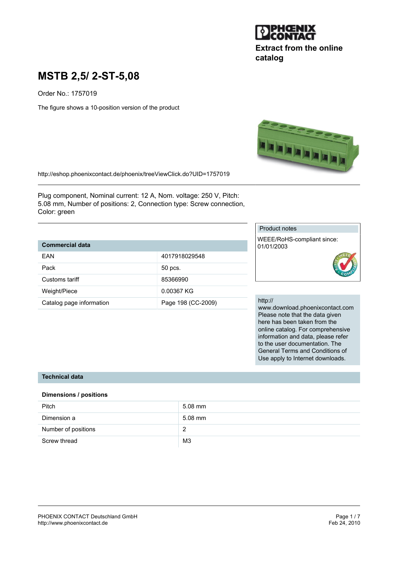

# **Extract from the online catalog**

# **MSTB 2,5/ 2-ST-5,08**

Order No.: 1757019

The figure shows a 10-position version of the product



http://eshop.phoenixcontact.de/phoenix/treeViewClick.do?UID=1757019

Plug component, Nominal current: 12 A, Nom. voltage: 250 V, Pitch: 5.08 mm, Number of positions: 2, Connection type: Screw connection, Color: green

# **Commercial data**

| FAN                      | 4017918029548      |
|--------------------------|--------------------|
| Pack                     | 50 pcs.            |
| Customs tariff           | 85366990           |
| Weight/Piece             | 0.00367 KG         |
| Catalog page information | Page 198 (CC-2009) |

#### Product notes

WEEE/RoHS-compliant since: 01/01/2003



#### http://

www.download.phoenixcontact.com Please note that the data given here has been taken from the online catalog. For comprehensive information and data, please refer to the user documentation. The General Terms and Conditions of Use apply to Internet downloads.

#### **Technical data**

#### **Dimensions / positions**

| Pitch               | $5.08$ mm      |
|---------------------|----------------|
| Dimension a         | $5.08$ mm      |
| Number of positions | ?              |
| Screw thread        | M <sub>3</sub> |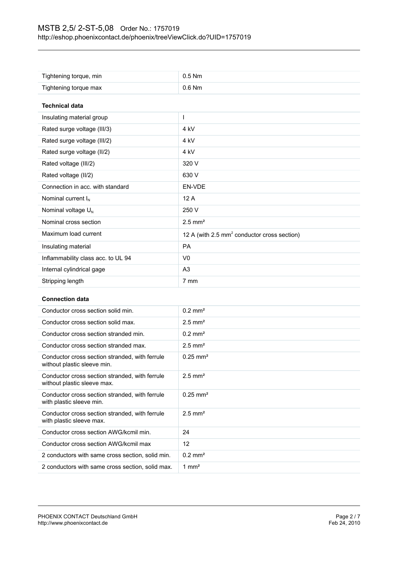| Tightening torque, min             | $0.5$ Nm                                                |
|------------------------------------|---------------------------------------------------------|
| Tightening torque max              | $0.6$ Nm                                                |
| <b>Technical data</b>              |                                                         |
| Insulating material group          | I                                                       |
| Rated surge voltage (III/3)        | 4 <sub>kV</sub>                                         |
| Rated surge voltage (III/2)        | 4 <sub>kV</sub>                                         |
| Rated surge voltage (II/2)         | 4 kV                                                    |
| Rated voltage (III/2)              | 320 V                                                   |
| Rated voltage (II/2)               | 630 V                                                   |
| Connection in acc. with standard   | EN-VDE                                                  |
| Nominal current $I_N$              | 12A                                                     |
| Nominal voltage $U_N$              | 250 V                                                   |
| Nominal cross section              | $2.5$ mm <sup>2</sup>                                   |
| Maximum load current               | 12 A (with 2.5 mm <sup>2</sup> conductor cross section) |
| Insulating material                | <b>PA</b>                                               |
| Inflammability class acc. to UL 94 | V <sub>0</sub>                                          |
| Internal cylindrical gage          | A <sub>3</sub>                                          |
| Stripping length                   | 7 mm                                                    |

#### **Connection data**

| Conductor cross section solid min.                                            | $0.2 \text{ mm}^2$    |
|-------------------------------------------------------------------------------|-----------------------|
| Conductor cross section solid max.                                            | $2.5$ mm <sup>2</sup> |
| Conductor cross section stranded min.                                         | $0.2$ mm <sup>2</sup> |
| Conductor cross section stranded max.                                         | $2.5$ mm <sup>2</sup> |
| Conductor cross section stranded, with ferrule<br>without plastic sleeve min. | $0.25 \text{ mm}^2$   |
| Conductor cross section stranded, with ferrule<br>without plastic sleeve max. | $2.5$ mm <sup>2</sup> |
| Conductor cross section stranded, with ferrule<br>with plastic sleeve min.    | $0.25 \text{ mm}^2$   |
| Conductor cross section stranded, with ferrule<br>with plastic sleeve max.    | $2.5$ mm <sup>2</sup> |
| Conductor cross section AWG/kcmil min.                                        | 24                    |
| Conductor cross section AWG/kcmil max                                         | 12                    |
| 2 conductors with same cross section, solid min.                              | $0.2$ mm <sup>2</sup> |
| 2 conductors with same cross section, solid max.                              | 1 mm <sup>2</sup>     |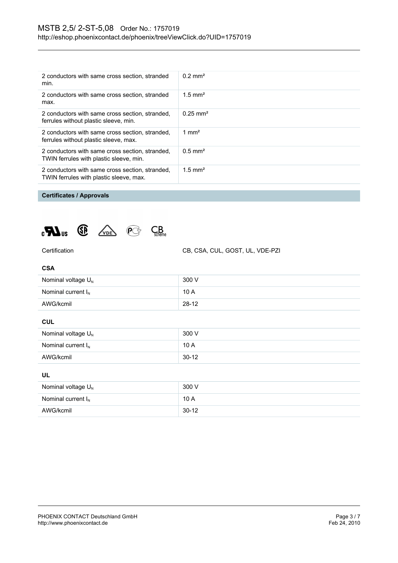| 2 conductors with same cross section, stranded<br>min.                                     | $0.2 \text{ mm}^2$    |
|--------------------------------------------------------------------------------------------|-----------------------|
| 2 conductors with same cross section, stranded<br>max.                                     | $1.5$ mm <sup>2</sup> |
| 2 conductors with same cross section, stranded,<br>ferrules without plastic sleeve, min.   | $0.25 \text{ mm}^2$   |
| 2 conductors with same cross section, stranded,<br>ferrules without plastic sleeve, max.   | 1 mm <sup>2</sup>     |
| 2 conductors with same cross section, stranded,<br>TWIN ferrules with plastic sleeve, min. | $0.5$ mm <sup>2</sup> |
| 2 conductors with same cross section, stranded,<br>TWIN ferrules with plastic sleeve, max. | $1.5$ mm <sup>2</sup> |

## **Certificates / Approvals**





Certification CB, CSA, CUL, GOST, UL, VDE-PZI

| Nominal voltage $U_N$   | 300 V   |
|-------------------------|---------|
| Nominal current $I_{N}$ | 10 A    |
| AWG/kcmil               | $28-12$ |

#### **CUL**

| Nominal voltage $U_N$   | 300 V   |
|-------------------------|---------|
| Nominal current $I_{N}$ | 10A     |
| AWG/kcmil               | $30-12$ |

## **UL**

| Nominal voltage $U_{N}$ | 300 V   |
|-------------------------|---------|
| Nominal current $I_N$   | 10A     |
| AWG/kcmil               | $30-12$ |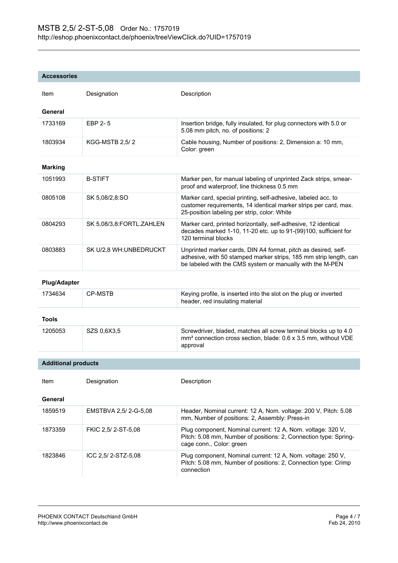#### **Accessories**

| Item                       | Designation              | Description                                                                                                                                                                                      |
|----------------------------|--------------------------|--------------------------------------------------------------------------------------------------------------------------------------------------------------------------------------------------|
| General                    |                          |                                                                                                                                                                                                  |
| 1733169                    | EBP 2-5                  | Insertion bridge, fully insulated, for plug connectors with 5.0 or<br>5.08 mm pitch, no. of positions: 2                                                                                         |
| 1803934                    | <b>KGG-MSTB 2,5/2</b>    | Cable housing, Number of positions: 2, Dimension a: 10 mm,<br>Color: green                                                                                                                       |
| <b>Marking</b>             |                          |                                                                                                                                                                                                  |
| 1051993                    | <b>B-STIFT</b>           | Marker pen, for manual labeling of unprinted Zack strips, smear-<br>proof and waterproof, line thickness 0.5 mm                                                                                  |
| 0805108                    | SK 5,08/2,8:SO           | Marker card, special printing, self-adhesive, labeled acc. to<br>customer requirements, 14 identical marker strips per card, max.<br>25-position labeling per strip, color: White                |
| 0804293                    | SK 5,08/3,8:FORTL.ZAHLEN | Marker card, printed horizontally, self-adhesive, 12 identical<br>decades marked 1-10, 11-20 etc. up to 91-(99)100, sufficient for<br>120 terminal blocks                                        |
| 0803883                    | SK U/2,8 WH: UNBEDRUCKT  | Unprinted marker cards, DIN A4 format, pitch as desired, self-<br>adhesive, with 50 stamped marker strips, 185 mm strip length, can<br>be labeled with the CMS system or manually with the M-PEN |
| <b>Plug/Adapter</b>        |                          |                                                                                                                                                                                                  |
| 1734634                    | <b>CP-MSTB</b>           | Keying profile, is inserted into the slot on the plug or inverted<br>header, red insulating material                                                                                             |
| <b>Tools</b>               |                          |                                                                                                                                                                                                  |
| 1205053                    | SZS 0,6X3,5              | Screwdriver, bladed, matches all screw terminal blocks up to 4.0<br>mm <sup>2</sup> connection cross section, blade: 0.6 x 3.5 mm, without VDE<br>approval                                       |
| <b>Additional products</b> |                          |                                                                                                                                                                                                  |
| Item                       | Designation              | Description                                                                                                                                                                                      |
| General                    |                          |                                                                                                                                                                                                  |
| 1859519                    | EMSTBVA 2,5/2--G5,08     | Header, Nominal current: 12 A, Nom. voltage: 200 V, Pitch: 5.08<br>mm, Number of positions: 2, Assembly: Press-in                                                                                |
| 1873359                    | FKIC 2,5/2-ST-5,08       | Plug component, Nominal current: 12 A, Nom. voltage: 320 V,<br>Pitch: 5.08 mm, Number of positions: 2, Connection type: Spring-<br>cage conn., Color: green                                      |
| 1823846                    | ICC 2,5/2-STZ-5,08       | Plug component, Nominal current: 12 A, Nom. voltage: 250 V,<br>Pitch: 5.08 mm, Number of positions: 2, Connection type: Crimp<br>connection                                                      |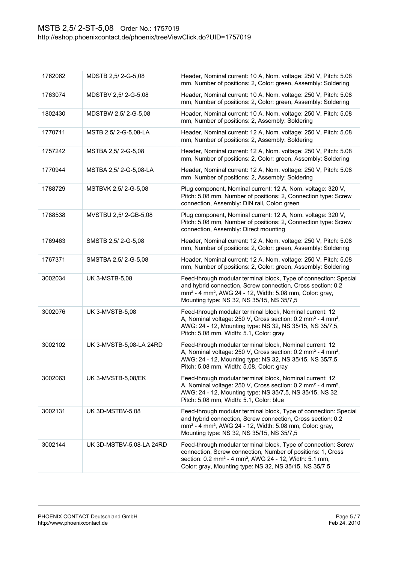| 1762062 | MDSTB 2,5/2-G-5,08       | Header, Nominal current: 10 A, Nom. voltage: 250 V, Pitch: 5.08<br>mm, Number of positions: 2, Color: green, Assembly: Soldering                                                                                                                                          |
|---------|--------------------------|---------------------------------------------------------------------------------------------------------------------------------------------------------------------------------------------------------------------------------------------------------------------------|
| 1763074 | MDSTBV 2,5/2-G-5,08      | Header, Nominal current: 10 A, Nom. voltage: 250 V, Pitch: 5.08<br>mm, Number of positions: 2, Color: green, Assembly: Soldering                                                                                                                                          |
| 1802430 | MDSTBW 2,5/2-G-5,08      | Header, Nominal current: 10 A, Nom. voltage: 250 V, Pitch: 5.08<br>mm, Number of positions: 2, Assembly: Soldering                                                                                                                                                        |
| 1770711 | MSTB 2,5/2-G-5,08-LA     | Header, Nominal current: 12 A, Nom. voltage: 250 V, Pitch: 5.08<br>mm, Number of positions: 2, Assembly: Soldering                                                                                                                                                        |
| 1757242 | MSTBA 2,5/2--5,08        | Header, Nominal current: 12 A, Nom. voltage: 250 V, Pitch: 5.08<br>mm, Number of positions: 2, Color: green, Assembly: Soldering                                                                                                                                          |
| 1770944 | MSTBA 2,5/2-G-5,08-LA    | Header, Nominal current: 12 A, Nom. voltage: 250 V, Pitch: 5.08<br>mm, Number of positions: 2, Assembly: Soldering                                                                                                                                                        |
| 1788729 | MSTBVK 2,5/2-G-5,08      | Plug component, Nominal current: 12 A, Nom. voltage: 320 V,<br>Pitch: 5.08 mm, Number of positions: 2, Connection type: Screw<br>connection, Assembly: DIN rail, Color: green                                                                                             |
| 1788538 | MVSTBU 2,5/2-GB-5,08     | Plug component, Nominal current: 12 A, Nom. voltage: 320 V,<br>Pitch: 5.08 mm, Number of positions: 2, Connection type: Screw<br>connection, Assembly: Direct mounting                                                                                                    |
| 1769463 | SMSTB 2,5/2-G-5,08       | Header, Nominal current: 12 A, Nom. voltage: 250 V, Pitch: 5.08<br>mm, Number of positions: 2, Color: green, Assembly: Soldering                                                                                                                                          |
| 1767371 | SMSTBA 2,5/2-G-5,08      | Header, Nominal current: 12 A, Nom. voltage: 250 V, Pitch: 5.08<br>mm, Number of positions: 2, Color: green, Assembly: Soldering                                                                                                                                          |
| 3002034 | <b>UK 3-MSTB-5,08</b>    | Feed-through modular terminal block, Type of connection: Special<br>and hybrid connection, Screw connection, Cross section: 0.2<br>mm <sup>2</sup> - 4 mm <sup>2</sup> , AWG 24 - 12, Width: 5.08 mm, Color: gray,<br>Mounting type: NS 32, NS 35/15, NS 35/7,5           |
| 3002076 | <b>UK 3-MVSTB-5,08</b>   | Feed-through modular terminal block, Nominal current: 12<br>A, Nominal voltage: 250 V, Cross section: 0.2 mm <sup>2</sup> - 4 mm <sup>2</sup> ,<br>AWG: 24 - 12, Mounting type: NS 32, NS 35/15, NS 35/7,5,<br>Pitch: 5.08 mm, Width: 5.1, Color: gray                    |
| 3002102 | UK 3-MVSTB-5,08-LA 24RD  | Feed-through modular terminal block, Nominal current: 12<br>A, Nominal voltage: 250 V, Cross section: 0.2 mm <sup>2</sup> - 4 mm <sup>2</sup> ,<br>AWG: 24 - 12, Mounting type: NS 32, NS 35/15, NS 35/7,5,<br>Pitch: 5.08 mm, Width: 5.08, Color: gray                   |
| 3002063 | UK 3-MVSTB-5,08/EK       | Feed-through modular terminal block, Nominal current: 12<br>A, Nominal voltage: 250 V, Cross section: 0.2 mm <sup>2</sup> - 4 mm <sup>2</sup> ,<br>AWG: 24 - 12, Mounting type: NS 35/7,5, NS 35/15, NS 32,<br>Pitch: 5.08 mm, Width: 5.1, Color: blue                    |
| 3002131 | UK 3D-MSTBV-5,08         | Feed-through modular terminal block, Type of connection: Special<br>and hybrid connection, Screw connection, Cross section: 0.2<br>mm <sup>2</sup> - 4 mm <sup>2</sup> , AWG 24 - 12, Width: 5.08 mm, Color: gray,<br>Mounting type: NS 32, NS 35/15, NS 35/7,5           |
| 3002144 | UK 3D-MSTBV-5,08-LA 24RD | Feed-through modular terminal block, Type of connection: Screw<br>connection, Screw connection, Number of positions: 1, Cross<br>section: 0.2 mm <sup>2</sup> - 4 mm <sup>2</sup> , AWG 24 - 12, Width: 5.1 mm,<br>Color: gray, Mounting type: NS 32, NS 35/15, NS 35/7,5 |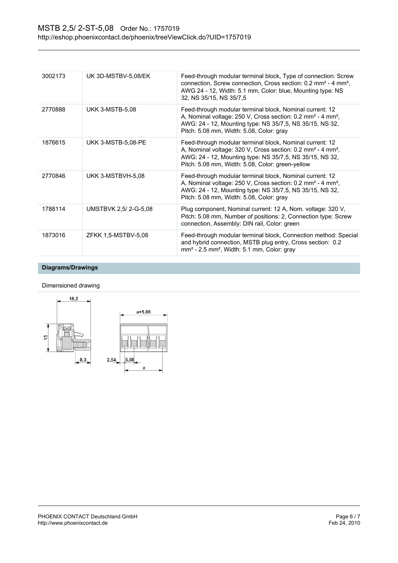| 3002173 | UK 3D-MSTBV-5,08/EK    | Feed-through modular terminal block, Type of connection: Screw<br>connection, Screw connection, Cross section: 0.2 mm <sup>2</sup> - 4 mm <sup>2</sup> ,<br>AWG 24 - 12, Width: 5.1 mm, Color: blue, Mounting type: NS<br>32, NS 35/15, NS 35/7.5               |
|---------|------------------------|-----------------------------------------------------------------------------------------------------------------------------------------------------------------------------------------------------------------------------------------------------------------|
| 2770888 | <b>UKK 3-MSTB-5,08</b> | Feed-through modular terminal block, Nominal current: 12<br>A, Nominal voltage: 250 V, Cross section: 0.2 mm <sup>2</sup> - 4 mm <sup>2</sup> ,<br>AWG: 24 - 12, Mounting type: NS 35/7,5, NS 35/15, NS 32,<br>Pitch: 5.08 mm, Width: 5.08, Color: gray         |
| 1876615 | UKK 3-MSTB-5,08-PE     | Feed-through modular terminal block, Nominal current: 12<br>A, Nominal voltage: 320 V, Cross section: 0.2 mm <sup>2</sup> - 4 mm <sup>2</sup> ,<br>AWG: 24 - 12, Mounting type: NS 35/7,5, NS 35/15, NS 32,<br>Pitch: 5.08 mm, Width: 5.08, Color: green-yellow |
| 2770846 | UKK 3-MSTBVH-5,08      | Feed-through modular terminal block, Nominal current: 12<br>A, Nominal voltage: 250 V, Cross section: 0.2 mm <sup>2</sup> - 4 mm <sup>2</sup> ,<br>AWG: 24 - 12, Mounting type: NS 35/7,5, NS 35/15, NS 32,<br>Pitch: 5.08 mm, Width: 5.08, Color: gray         |
| 1788114 | UMSTBVK 2,5/2-G-5,08   | Plug component, Nominal current: 12 A, Nom. voltage: 320 V,<br>Pitch: 5.08 mm, Number of positions: 2, Connection type: Screw<br>connection, Assembly: DIN rail, Color: green                                                                                   |
| 1873016 | ZFKK 1,5-MSTBV-5,08    | Feed-through modular terminal block, Connection method: Special<br>and hybrid connection, MSTB plug entry, Cross section: 0.2<br>$mm2$ - 2.5 mm <sup>2</sup> , Width: 5.1 mm, Color: gray                                                                       |

# **Diagrams/Drawings**